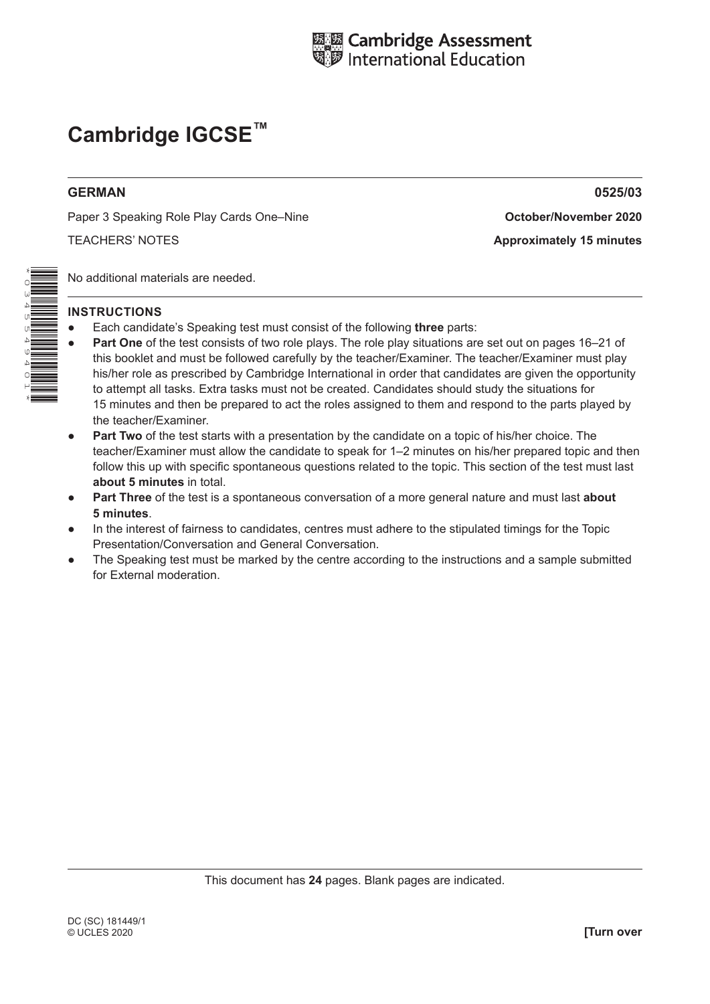

# **Cambridge IGCSE™**

# **GERMAN 0525/03**

Paper 3 Speaking Role Play Cards One–Nine **October/November 2020**

TEACHERS' NOTES **Approximately 15 minutes**

No additional materials are needed.

# **INSTRUCTIONS**

- Each candidate's Speaking test must consist of the following **three** parts:
- Part One of the test consists of two role plays. The role play situations are set out on pages 16–21 of this booklet and must be followed carefully by the teacher/Examiner. The teacher/Examiner must play his/her role as prescribed by Cambridge International in order that candidates are given the opportunity to attempt all tasks. Extra tasks must not be created. Candidates should study the situations for 15 minutes and then be prepared to act the roles assigned to them and respond to the parts played by the teacher/Examiner.
- **• Part Two** of the test starts with a presentation by the candidate on a topic of his/her choice. The teacher/Examiner must allow the candidate to speak for 1–2 minutes on his/her prepared topic and then follow this up with specific spontaneous questions related to the topic. This section of the test must last **about 5 minutes** in total.
- Part Three of the test is a spontaneous conversation of a more general nature and must last about **5 minutes**.
- In the interest of fairness to candidates, centres must adhere to the stipulated timings for the Topic Presentation/Conversation and General Conversation.
- The Speaking test must be marked by the centre according to the instructions and a sample submitted for External moderation.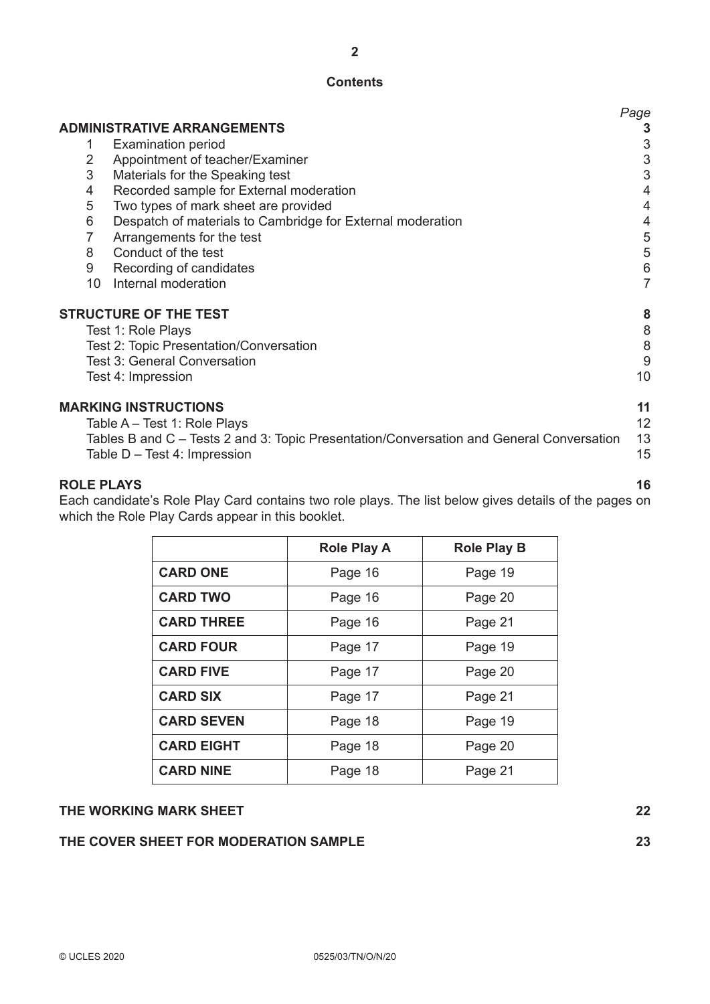# **Contents**

|                 |                                                                                                                             | Page           |
|-----------------|-----------------------------------------------------------------------------------------------------------------------------|----------------|
|                 | <b>ADMINISTRATIVE ARRANGEMENTS</b>                                                                                          |                |
|                 | <b>Examination period</b>                                                                                                   | 3              |
| 2               | Appointment of teacher/Examiner                                                                                             | 3              |
| 3               | Materials for the Speaking test                                                                                             | 3              |
| 4               | Recorded sample for External moderation                                                                                     | 4              |
| 5               | Two types of mark sheet are provided                                                                                        | 4              |
| 6               | Despatch of materials to Cambridge for External moderation                                                                  | 4              |
| 7               | Arrangements for the test                                                                                                   | 5              |
| 8               | Conduct of the test                                                                                                         | 5              |
| 9               | Recording of candidates                                                                                                     | 6              |
| 10 <sup>°</sup> | Internal moderation                                                                                                         | $\overline{7}$ |
|                 | <b>STRUCTURE OF THE TEST</b>                                                                                                | 8              |
|                 | Test 1: Role Plays                                                                                                          | 8              |
|                 | <b>Test 2: Topic Presentation/Conversation</b>                                                                              | 8              |
|                 | <b>Test 3: General Conversation</b>                                                                                         | 9              |
|                 | Test 4: Impression                                                                                                          | 10             |
|                 | <b>MARKING INSTRUCTIONS</b>                                                                                                 | 11             |
|                 | Table A – Test 1: Role Plays                                                                                                | 12             |
|                 | Tables B and C – Tests 2 and 3: Topic Presentation/Conversation and General Conversation<br>Table $D - Test 4$ : Impression | 13<br>15       |

# **ROLE PLAYS 16**

Each candidate's Role Play Card contains two role plays. The list below gives details of the pages on which the Role Play Cards appear in this booklet.

|                   | <b>Role Play A</b> | <b>Role Play B</b> |
|-------------------|--------------------|--------------------|
| <b>CARD ONE</b>   | Page 16            | Page 19            |
| <b>CARD TWO</b>   | Page 16            | Page 20            |
| <b>CARD THREE</b> | Page 16            | Page 21            |
| <b>CARD FOUR</b>  | Page 17            | Page 19            |
| <b>CARD FIVE</b>  | Page 17            | Page 20            |
| <b>CARD SIX</b>   | Page 17            | Page 21            |
| <b>CARD SEVEN</b> | Page 18            | Page 19            |
| <b>CARD EIGHT</b> | Page 18            | Page 20            |
| <b>CARD NINE</b>  | Page 18            | Page 21            |

# **THE WORKING MARK SHEET 22**

# **THE COVER SHEET FOR MODERATION SAMPLE 23**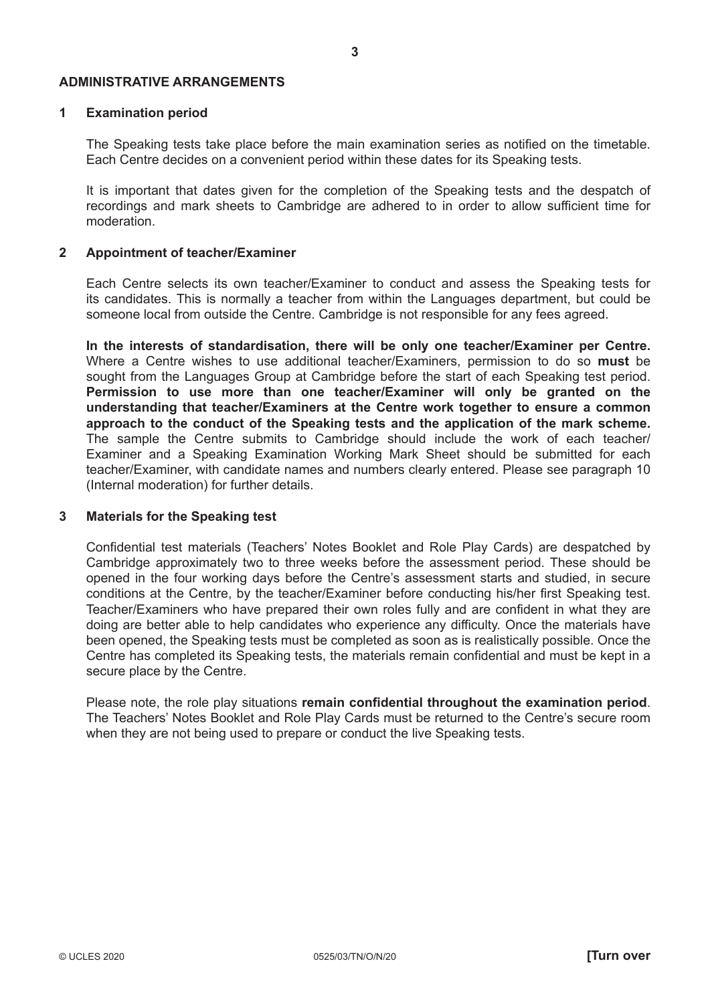#### **ADMINISTRATIVE ARRANGEMENTS**

# **1 Examination period**

The Speaking tests take place before the main examination series as notified on the timetable. Each Centre decides on a convenient period within these dates for its Speaking tests.

It is important that dates given for the completion of the Speaking tests and the despatch of recordings and mark sheets to Cambridge are adhered to in order to allow sufficient time for moderation.

### **2 Appointment of teacher/Examiner**

Each Centre selects its own teacher/Examiner to conduct and assess the Speaking tests for its candidates. This is normally a teacher from within the Languages department, but could be someone local from outside the Centre. Cambridge is not responsible for any fees agreed.

**In the interests of standardisation, there will be only one teacher/Examiner per Centre.** Where a Centre wishes to use additional teacher/Examiners, permission to do so **must** be sought from the Languages Group at Cambridge before the start of each Speaking test period. **Permission to use more than one teacher/Examiner will only be granted on the understanding that teacher/Examiners at the Centre work together to ensure a common approach to the conduct of the Speaking tests and the application of the mark scheme.** The sample the Centre submits to Cambridge should include the work of each teacher/ Examiner and a Speaking Examination Working Mark Sheet should be submitted for each teacher/Examiner, with candidate names and numbers clearly entered. Please see paragraph 10 (Internal moderation) for further details.

# **3 Materials for the Speaking test**

Confidential test materials (Teachers' Notes Booklet and Role Play Cards) are despatched by Cambridge approximately two to three weeks before the assessment period. These should be opened in the four working days before the Centre's assessment starts and studied, in secure conditions at the Centre, by the teacher/Examiner before conducting his/her first Speaking test. Teacher/Examiners who have prepared their own roles fully and are confident in what they are doing are better able to help candidates who experience any difficulty. Once the materials have been opened, the Speaking tests must be completed as soon as is realistically possible. Once the Centre has completed its Speaking tests, the materials remain confidential and must be kept in a secure place by the Centre.

Please note, the role play situations **remain confidential throughout the examination period**. The Teachers' Notes Booklet and Role Play Cards must be returned to the Centre's secure room when they are not being used to prepare or conduct the live Speaking tests.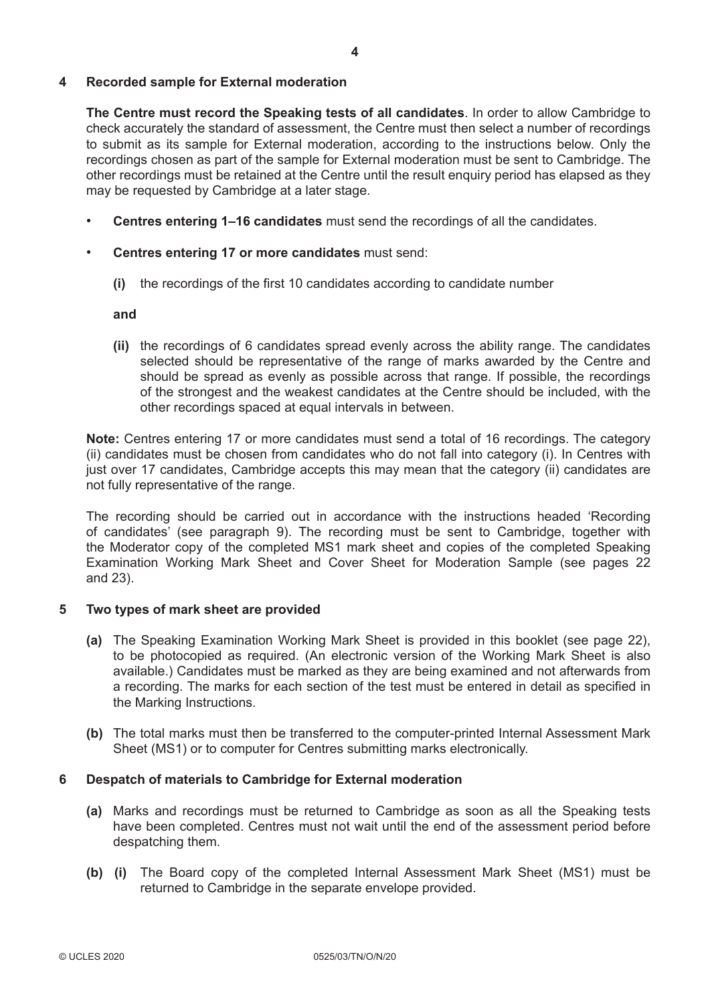# **4 Recorded sample for External moderation**

**The Centre must record the Speaking tests of all candidates**. In order to allow Cambridge to check accurately the standard of assessment, the Centre must then select a number of recordings to submit as its sample for External moderation, according to the instructions below. Only the recordings chosen as part of the sample for External moderation must be sent to Cambridge. The other recordings must be retained at the Centre until the result enquiry period has elapsed as they may be requested by Cambridge at a later stage.

- **Centres entering 1–16 candidates** must send the recordings of all the candidates.
- **Centres entering 17 or more candidates** must send:
	- **(i)** the recordings of the first 10 candidates according to candidate number

#### **and**

 **(ii)** the recordings of 6 candidates spread evenly across the ability range. The candidates selected should be representative of the range of marks awarded by the Centre and should be spread as evenly as possible across that range. If possible, the recordings of the strongest and the weakest candidates at the Centre should be included, with the other recordings spaced at equal intervals in between.

**Note:** Centres entering 17 or more candidates must send a total of 16 recordings. The category (ii) candidates must be chosen from candidates who do not fall into category (i). In Centres with just over 17 candidates, Cambridge accepts this may mean that the category (ii) candidates are not fully representative of the range.

The recording should be carried out in accordance with the instructions headed 'Recording of candidates' (see paragraph 9). The recording must be sent to Cambridge, together with the Moderator copy of the completed MS1 mark sheet and copies of the completed Speaking Examination Working Mark Sheet and Cover Sheet for Moderation Sample (see pages 22 and 23).

# **5 Two types of mark sheet are provided**

- **(a)** The Speaking Examination Working Mark Sheet is provided in this booklet (see page 22), to be photocopied as required. (An electronic version of the Working Mark Sheet is also available.) Candidates must be marked as they are being examined and not afterwards from a recording. The marks for each section of the test must be entered in detail as specified in the Marking Instructions.
- **(b)** The total marks must then be transferred to the computer-printed Internal Assessment Mark Sheet (MS1) or to computer for Centres submitting marks electronically.

# **6 Despatch of materials to Cambridge for External moderation**

- **(a)** Marks and recordings must be returned to Cambridge as soon as all the Speaking tests have been completed. Centres must not wait until the end of the assessment period before despatching them.
- **(b) (i)** The Board copy of the completed Internal Assessment Mark Sheet (MS1) must be returned to Cambridge in the separate envelope provided.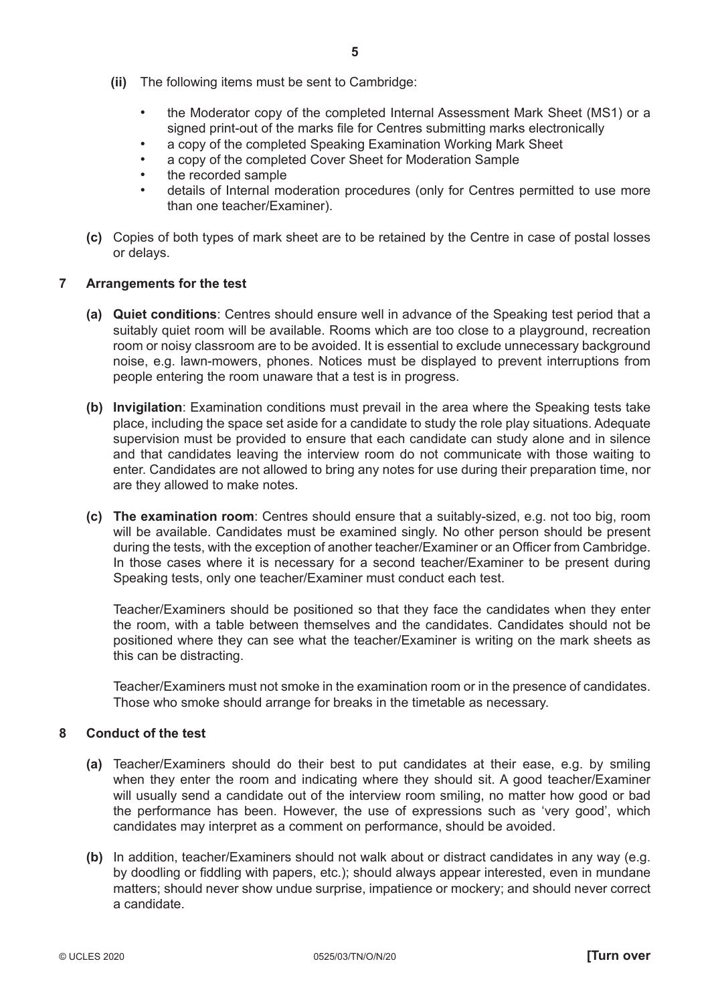- the Moderator copy of the completed Internal Assessment Mark Sheet (MS1) or a signed print-out of the marks file for Centres submitting marks electronically
- a copy of the completed Speaking Examination Working Mark Sheet
- a copy of the completed Cover Sheet for Moderation Sample
- the recorded sample
- details of Internal moderation procedures (only for Centres permitted to use more than one teacher/Examiner).
- **(c)** Copies of both types of mark sheet are to be retained by the Centre in case of postal losses or delays.

# **7 Arrangements for the test**

- **(a) Quiet conditions**: Centres should ensure well in advance of the Speaking test period that a suitably quiet room will be available. Rooms which are too close to a playground, recreation room or noisy classroom are to be avoided. It is essential to exclude unnecessary background noise, e.g. lawn-mowers, phones. Notices must be displayed to prevent interruptions from people entering the room unaware that a test is in progress.
- **(b) Invigilation**: Examination conditions must prevail in the area where the Speaking tests take place, including the space set aside for a candidate to study the role play situations. Adequate supervision must be provided to ensure that each candidate can study alone and in silence and that candidates leaving the interview room do not communicate with those waiting to enter. Candidates are not allowed to bring any notes for use during their preparation time, nor are they allowed to make notes.
- **(c) The examination room**: Centres should ensure that a suitably-sized, e.g. not too big, room will be available. Candidates must be examined singly. No other person should be present during the tests, with the exception of another teacher/Examiner or an Officer from Cambridge. In those cases where it is necessary for a second teacher/Examiner to be present during Speaking tests, only one teacher/Examiner must conduct each test.

 Teacher/Examiners should be positioned so that they face the candidates when they enter the room, with a table between themselves and the candidates. Candidates should not be positioned where they can see what the teacher/Examiner is writing on the mark sheets as this can be distracting.

 Teacher/Examiners must not smoke in the examination room or in the presence of candidates. Those who smoke should arrange for breaks in the timetable as necessary.

# **8 Conduct of the test**

- **(a)** Teacher/Examiners should do their best to put candidates at their ease, e.g. by smiling when they enter the room and indicating where they should sit. A good teacher/Examiner will usually send a candidate out of the interview room smiling, no matter how good or bad the performance has been. However, the use of expressions such as 'very good', which candidates may interpret as a comment on performance, should be avoided.
- **(b)** In addition, teacher/Examiners should not walk about or distract candidates in any way (e.g. by doodling or fiddling with papers, etc.); should always appear interested, even in mundane matters; should never show undue surprise, impatience or mockery; and should never correct a candidate.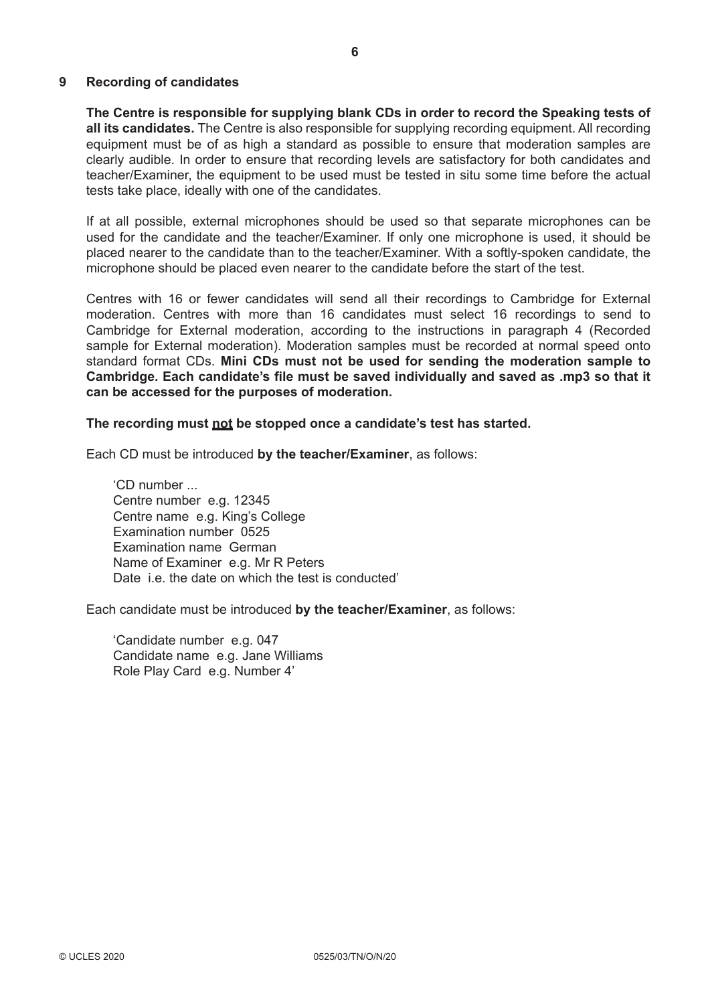### **9 Recording of candidates**

**The Centre is responsible for supplying blank CDs in order to record the Speaking tests of all its candidates.** The Centre is also responsible for supplying recording equipment. All recording equipment must be of as high a standard as possible to ensure that moderation samples are clearly audible. In order to ensure that recording levels are satisfactory for both candidates and teacher/Examiner, the equipment to be used must be tested in situ some time before the actual tests take place, ideally with one of the candidates.

If at all possible, external microphones should be used so that separate microphones can be used for the candidate and the teacher/Examiner. If only one microphone is used, it should be placed nearer to the candidate than to the teacher/Examiner. With a softly-spoken candidate, the microphone should be placed even nearer to the candidate before the start of the test.

Centres with 16 or fewer candidates will send all their recordings to Cambridge for External moderation. Centres with more than 16 candidates must select 16 recordings to send to Cambridge for External moderation, according to the instructions in paragraph 4 (Recorded sample for External moderation). Moderation samples must be recorded at normal speed onto standard format CDs. **Mini CDs must not be used for sending the moderation sample to Cambridge. Each candidate's file must be saved individually and saved as .mp3 so that it can be accessed for the purposes of moderation.**

#### **The recording must not be stopped once a candidate's test has started.**

Each CD must be introduced **by the teacher/Examiner**, as follows:

 'CD number ... Centre number e.g. 12345 Centre name e.g. King's College Examination number 0525 Examination name German Name of Examiner e.g. Mr R Peters Date i.e. the date on which the test is conducted'

Each candidate must be introduced **by the teacher/Examiner**, as follows:

 'Candidate number e.g. 047 Candidate name e.g. Jane Williams Role Play Card e.g. Number 4'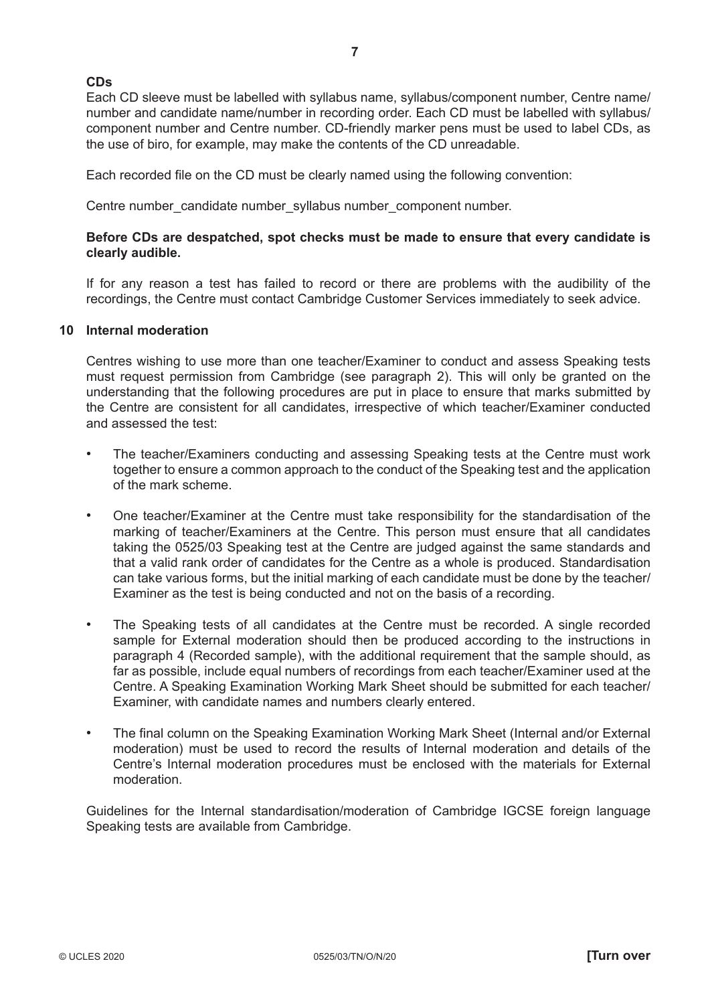# **CDs**

Each CD sleeve must be labelled with syllabus name, syllabus/component number, Centre name/ number and candidate name/number in recording order. Each CD must be labelled with syllabus/ component number and Centre number. CD-friendly marker pens must be used to label CDs, as the use of biro, for example, may make the contents of the CD unreadable.

**7**

Each recorded file on the CD must be clearly named using the following convention:

Centre number\_candidate number\_syllabus number\_component number.

# **Before CDs are despatched, spot checks must be made to ensure that every candidate is clearly audible.**

 If for any reason a test has failed to record or there are problems with the audibility of the recordings, the Centre must contact Cambridge Customer Services immediately to seek advice.

# **10 Internal moderation**

Centres wishing to use more than one teacher/Examiner to conduct and assess Speaking tests must request permission from Cambridge (see paragraph 2). This will only be granted on the understanding that the following procedures are put in place to ensure that marks submitted by the Centre are consistent for all candidates, irrespective of which teacher/Examiner conducted and assessed the test:

- The teacher/Examiners conducting and assessing Speaking tests at the Centre must work together to ensure a common approach to the conduct of the Speaking test and the application of the mark scheme.
- One teacher/Examiner at the Centre must take responsibility for the standardisation of the marking of teacher/Examiners at the Centre. This person must ensure that all candidates taking the 0525/03 Speaking test at the Centre are judged against the same standards and that a valid rank order of candidates for the Centre as a whole is produced. Standardisation can take various forms, but the initial marking of each candidate must be done by the teacher/ Examiner as the test is being conducted and not on the basis of a recording.
- The Speaking tests of all candidates at the Centre must be recorded. A single recorded sample for External moderation should then be produced according to the instructions in paragraph 4 (Recorded sample), with the additional requirement that the sample should, as far as possible, include equal numbers of recordings from each teacher/Examiner used at the Centre. A Speaking Examination Working Mark Sheet should be submitted for each teacher/ Examiner, with candidate names and numbers clearly entered.
- The final column on the Speaking Examination Working Mark Sheet (Internal and/or External moderation) must be used to record the results of Internal moderation and details of the Centre's Internal moderation procedures must be enclosed with the materials for External moderation.

Guidelines for the Internal standardisation/moderation of Cambridge IGCSE foreign language Speaking tests are available from Cambridge.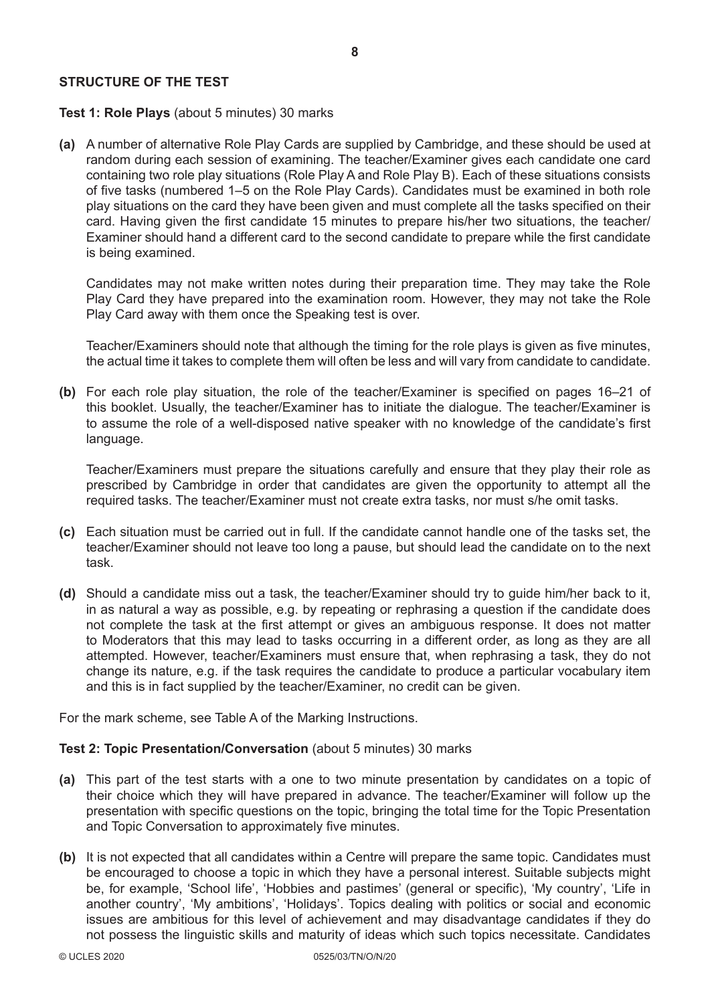# **STRUCTURE OF THE TEST**

# **Test 1: Role Plays** (about 5 minutes) 30 marks

**(a)** A number of alternative Role Play Cards are supplied by Cambridge, and these should be used at random during each session of examining. The teacher/Examiner gives each candidate one card containing two role play situations (Role Play A and Role Play B). Each of these situations consists of five tasks (numbered 1–5 on the Role Play Cards). Candidates must be examined in both role play situations on the card they have been given and must complete all the tasks specified on their card. Having given the first candidate 15 minutes to prepare his/her two situations, the teacher/ Examiner should hand a different card to the second candidate to prepare while the first candidate is being examined.

Candidates may not make written notes during their preparation time. They may take the Role Play Card they have prepared into the examination room. However, they may not take the Role Play Card away with them once the Speaking test is over.

Teacher/Examiners should note that although the timing for the role plays is given as five minutes, the actual time it takes to complete them will often be less and will vary from candidate to candidate.

**(b)** For each role play situation, the role of the teacher/Examiner is specified on pages 16–21 of this booklet. Usually, the teacher/Examiner has to initiate the dialogue. The teacher/Examiner is to assume the role of a well-disposed native speaker with no knowledge of the candidate's first language.

Teacher/Examiners must prepare the situations carefully and ensure that they play their role as prescribed by Cambridge in order that candidates are given the opportunity to attempt all the required tasks. The teacher/Examiner must not create extra tasks, nor must s/he omit tasks.

- **(c)** Each situation must be carried out in full. If the candidate cannot handle one of the tasks set, the teacher/Examiner should not leave too long a pause, but should lead the candidate on to the next task.
- **(d)** Should a candidate miss out a task, the teacher/Examiner should try to guide him/her back to it, in as natural a way as possible, e.g. by repeating or rephrasing a question if the candidate does not complete the task at the first attempt or gives an ambiguous response. It does not matter to Moderators that this may lead to tasks occurring in a different order, as long as they are all attempted. However, teacher/Examiners must ensure that, when rephrasing a task, they do not change its nature, e.g. if the task requires the candidate to produce a particular vocabulary item and this is in fact supplied by the teacher/Examiner, no credit can be given.

For the mark scheme, see Table A of the Marking Instructions.

# **Test 2: Topic Presentation/Conversation** (about 5 minutes) 30 marks

- **(a)** This part of the test starts with a one to two minute presentation by candidates on a topic of their choice which they will have prepared in advance. The teacher/Examiner will follow up the presentation with specific questions on the topic, bringing the total time for the Topic Presentation and Topic Conversation to approximately five minutes.
- **(b)** It is not expected that all candidates within a Centre will prepare the same topic. Candidates must be encouraged to choose a topic in which they have a personal interest. Suitable subjects might be, for example, 'School life', 'Hobbies and pastimes' (general or specific), 'My country', 'Life in another country', 'My ambitions', 'Holidays'. Topics dealing with politics or social and economic issues are ambitious for this level of achievement and may disadvantage candidates if they do not possess the linguistic skills and maturity of ideas which such topics necessitate. Candidates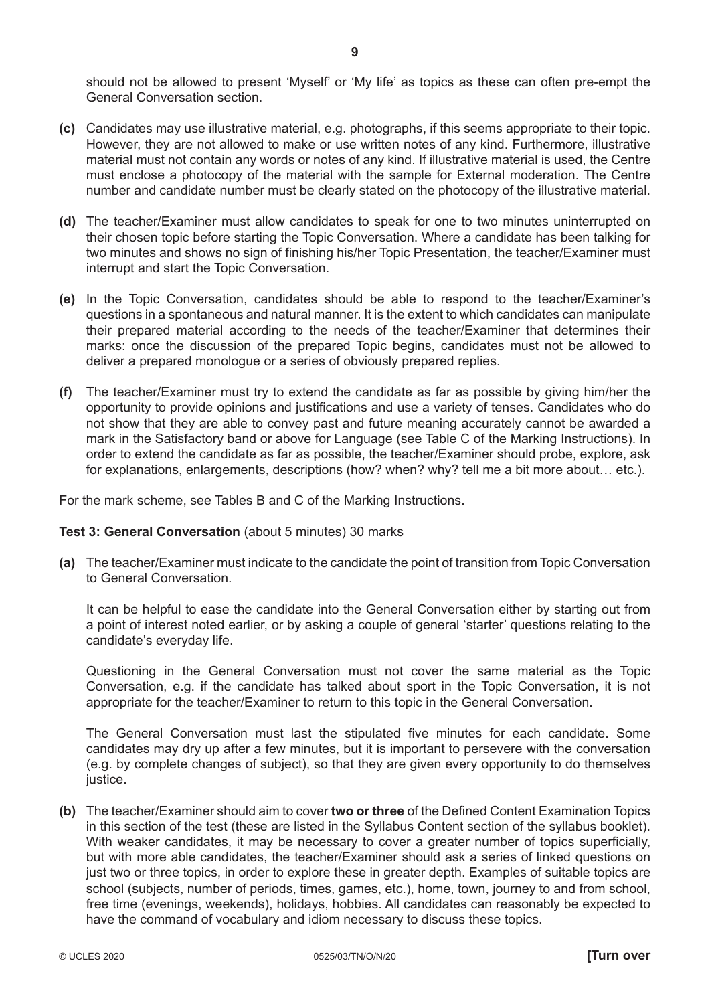should not be allowed to present 'Myself' or 'My life' as topics as these can often pre-empt the General Conversation section.

- **(c)** Candidates may use illustrative material, e.g. photographs, if this seems appropriate to their topic. However, they are not allowed to make or use written notes of any kind. Furthermore, illustrative material must not contain any words or notes of any kind. If illustrative material is used, the Centre must enclose a photocopy of the material with the sample for External moderation. The Centre number and candidate number must be clearly stated on the photocopy of the illustrative material.
- **(d)** The teacher/Examiner must allow candidates to speak for one to two minutes uninterrupted on their chosen topic before starting the Topic Conversation. Where a candidate has been talking for two minutes and shows no sign of finishing his/her Topic Presentation, the teacher/Examiner must interrupt and start the Topic Conversation.
- **(e)** In the Topic Conversation, candidates should be able to respond to the teacher/Examiner's questions in a spontaneous and natural manner. It is the extent to which candidates can manipulate their prepared material according to the needs of the teacher/Examiner that determines their marks: once the discussion of the prepared Topic begins, candidates must not be allowed to deliver a prepared monologue or a series of obviously prepared replies.
- **(f)** The teacher/Examiner must try to extend the candidate as far as possible by giving him/her the opportunity to provide opinions and justifications and use a variety of tenses. Candidates who do not show that they are able to convey past and future meaning accurately cannot be awarded a mark in the Satisfactory band or above for Language (see Table C of the Marking Instructions). In order to extend the candidate as far as possible, the teacher/Examiner should probe, explore, ask for explanations, enlargements, descriptions (how? when? why? tell me a bit more about… etc.).

For the mark scheme, see Tables B and C of the Marking Instructions.

# **Test 3: General Conversation** (about 5 minutes) 30 marks

**(a)** The teacher/Examiner must indicate to the candidate the point of transition from Topic Conversation to General Conversation.

It can be helpful to ease the candidate into the General Conversation either by starting out from a point of interest noted earlier, or by asking a couple of general 'starter' questions relating to the candidate's everyday life.

Questioning in the General Conversation must not cover the same material as the Topic Conversation, e.g. if the candidate has talked about sport in the Topic Conversation, it is not appropriate for the teacher/Examiner to return to this topic in the General Conversation.

The General Conversation must last the stipulated five minutes for each candidate. Some candidates may dry up after a few minutes, but it is important to persevere with the conversation (e.g. by complete changes of subject), so that they are given every opportunity to do themselves justice.

**(b)** The teacher/Examiner should aim to cover **two or three** of the Defined Content Examination Topics in this section of the test (these are listed in the Syllabus Content section of the syllabus booklet). With weaker candidates, it may be necessary to cover a greater number of topics superficially, but with more able candidates, the teacher/Examiner should ask a series of linked questions on just two or three topics, in order to explore these in greater depth. Examples of suitable topics are school (subjects, number of periods, times, games, etc.), home, town, journey to and from school, free time (evenings, weekends), holidays, hobbies. All candidates can reasonably be expected to have the command of vocabulary and idiom necessary to discuss these topics.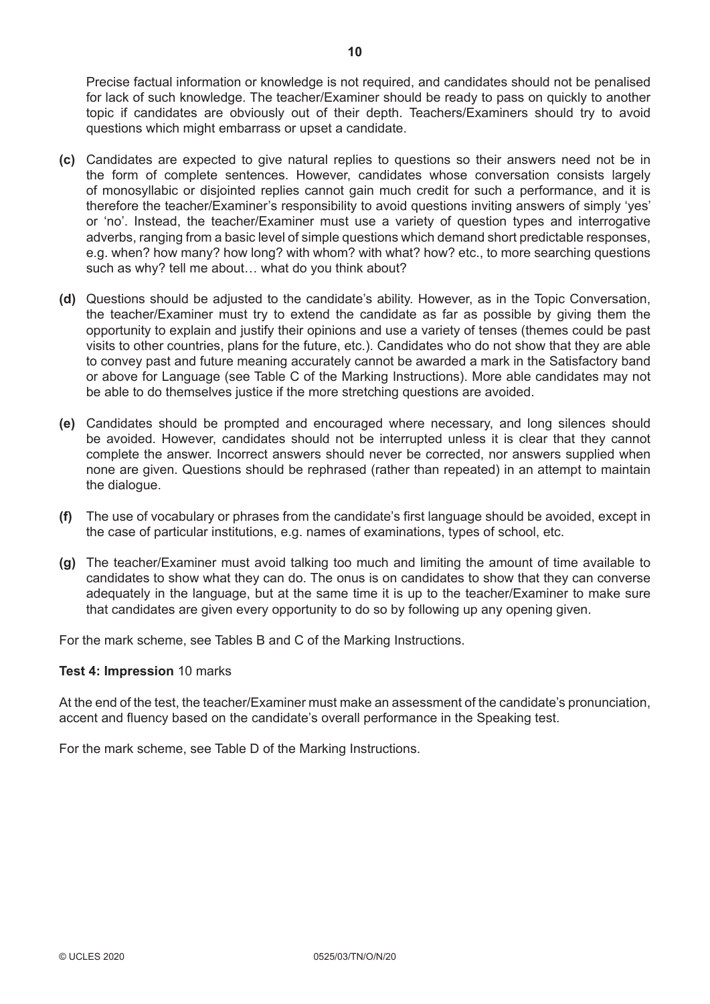Precise factual information or knowledge is not required, and candidates should not be penalised for lack of such knowledge. The teacher/Examiner should be ready to pass on quickly to another topic if candidates are obviously out of their depth. Teachers/Examiners should try to avoid questions which might embarrass or upset a candidate.

- **(c)** Candidates are expected to give natural replies to questions so their answers need not be in the form of complete sentences. However, candidates whose conversation consists largely of monosyllabic or disjointed replies cannot gain much credit for such a performance, and it is therefore the teacher/Examiner's responsibility to avoid questions inviting answers of simply 'yes' or 'no'. Instead, the teacher/Examiner must use a variety of question types and interrogative adverbs, ranging from a basic level of simple questions which demand short predictable responses, e.g. when? how many? how long? with whom? with what? how? etc., to more searching questions such as why? tell me about… what do you think about?
- **(d)** Questions should be adjusted to the candidate's ability. However, as in the Topic Conversation, the teacher/Examiner must try to extend the candidate as far as possible by giving them the opportunity to explain and justify their opinions and use a variety of tenses (themes could be past visits to other countries, plans for the future, etc.). Candidates who do not show that they are able to convey past and future meaning accurately cannot be awarded a mark in the Satisfactory band or above for Language (see Table C of the Marking Instructions). More able candidates may not be able to do themselves justice if the more stretching questions are avoided.
- **(e)** Candidates should be prompted and encouraged where necessary, and long silences should be avoided. However, candidates should not be interrupted unless it is clear that they cannot complete the answer. Incorrect answers should never be corrected, nor answers supplied when none are given. Questions should be rephrased (rather than repeated) in an attempt to maintain the dialogue.
- **(f)** The use of vocabulary or phrases from the candidate's first language should be avoided, except in the case of particular institutions, e.g. names of examinations, types of school, etc.
- **(g)** The teacher/Examiner must avoid talking too much and limiting the amount of time available to candidates to show what they can do. The onus is on candidates to show that they can converse adequately in the language, but at the same time it is up to the teacher/Examiner to make sure that candidates are given every opportunity to do so by following up any opening given.

For the mark scheme, see Tables B and C of the Marking Instructions.

# **Test 4: Impression** 10 marks

At the end of the test, the teacher/Examiner must make an assessment of the candidate's pronunciation, accent and fluency based on the candidate's overall performance in the Speaking test.

For the mark scheme, see Table D of the Marking Instructions.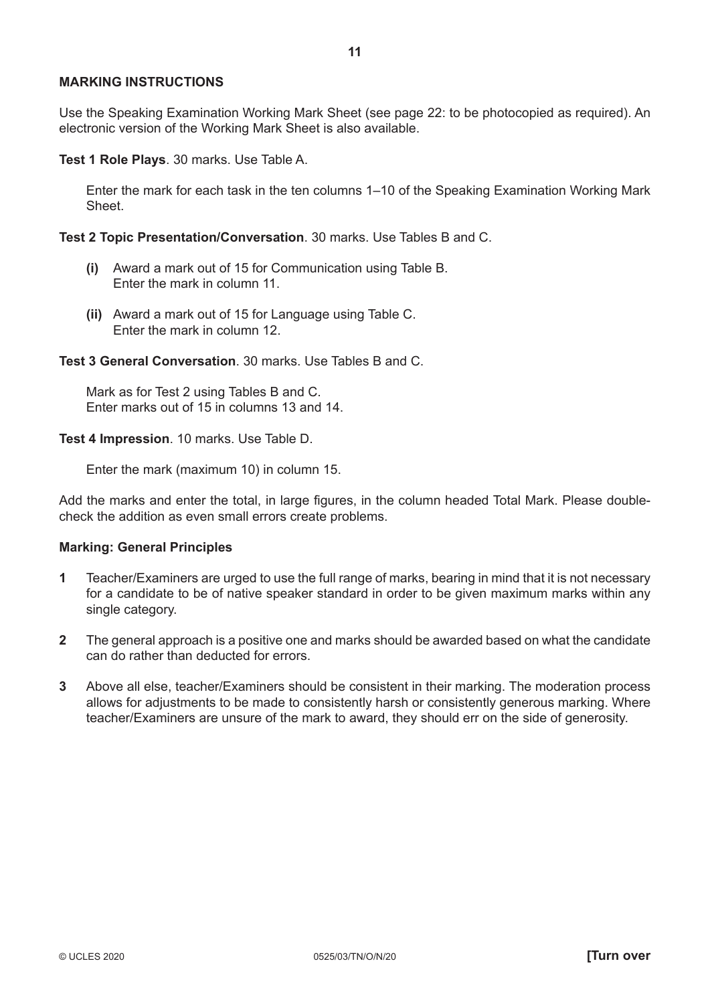#### **MARKING INSTRUCTIONS**

Use the Speaking Examination Working Mark Sheet (see page 22: to be photocopied as required). An electronic version of the Working Mark Sheet is also available.

**Test 1 Role Plays**. 30 marks. Use Table A.

Enter the mark for each task in the ten columns 1–10 of the Speaking Examination Working Mark Sheet.

**Test 2 Topic Presentation/Conversation**. 30 marks. Use Tables B and C.

- **(i)** Award a mark out of 15 for Communication using Table B. Enter the mark in column 11.
- **(ii)** Award a mark out of 15 for Language using Table C. Enter the mark in column 12.

**Test 3 General Conversation**. 30 marks. Use Tables B and C.

Mark as for Test 2 using Tables B and C. Enter marks out of 15 in columns 13 and 14.

**Test 4 Impression**. 10 marks. Use Table D.

Enter the mark (maximum 10) in column 15.

Add the marks and enter the total, in large figures, in the column headed Total Mark. Please doublecheck the addition as even small errors create problems.

#### **Marking: General Principles**

- **1** Teacher/Examiners are urged to use the full range of marks, bearing in mind that it is not necessary for a candidate to be of native speaker standard in order to be given maximum marks within any single category.
- **2** The general approach is a positive one and marks should be awarded based on what the candidate can do rather than deducted for errors.
- **3** Above all else, teacher/Examiners should be consistent in their marking. The moderation process allows for adjustments to be made to consistently harsh or consistently generous marking. Where teacher/Examiners are unsure of the mark to award, they should err on the side of generosity.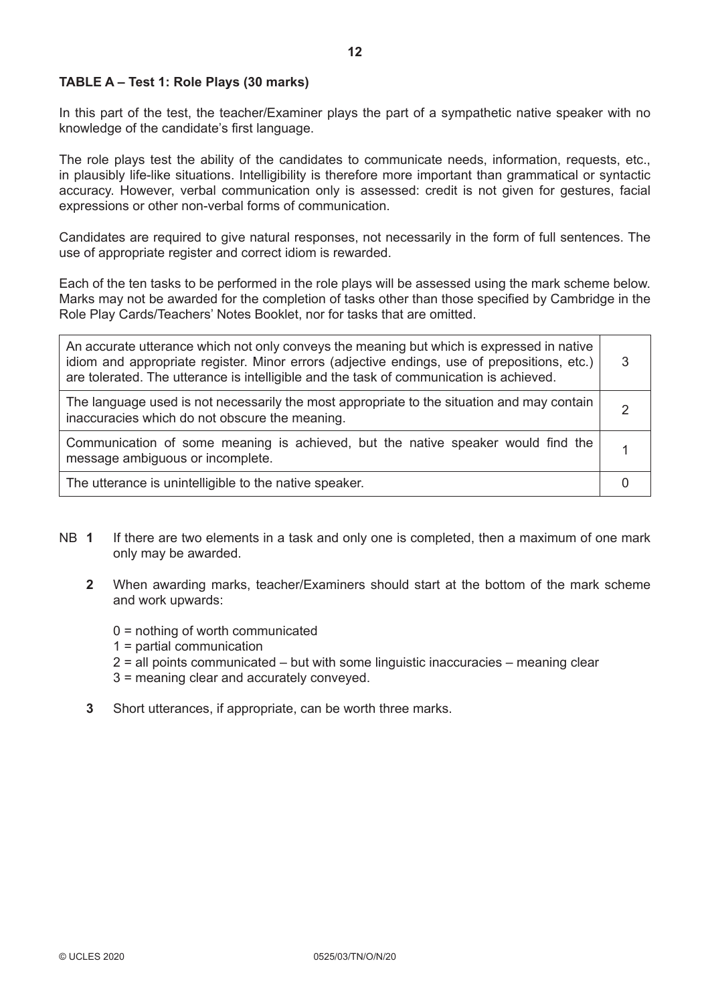# **TABLE A – Test 1: Role Plays (30 marks)**

In this part of the test, the teacher/Examiner plays the part of a sympathetic native speaker with no knowledge of the candidate's first language.

The role plays test the ability of the candidates to communicate needs, information, requests, etc., in plausibly life-like situations. Intelligibility is therefore more important than grammatical or syntactic accuracy. However, verbal communication only is assessed: credit is not given for gestures, facial expressions or other non-verbal forms of communication.

Candidates are required to give natural responses, not necessarily in the form of full sentences. The use of appropriate register and correct idiom is rewarded.

Each of the ten tasks to be performed in the role plays will be assessed using the mark scheme below. Marks may not be awarded for the completion of tasks other than those specified by Cambridge in the Role Play Cards/Teachers' Notes Booklet, nor for tasks that are omitted.

| An accurate utterance which not only conveys the meaning but which is expressed in native<br>idiom and appropriate register. Minor errors (adjective endings, use of prepositions, etc.)<br>are tolerated. The utterance is intelligible and the task of communication is achieved. | 3 |
|-------------------------------------------------------------------------------------------------------------------------------------------------------------------------------------------------------------------------------------------------------------------------------------|---|
| The language used is not necessarily the most appropriate to the situation and may contain<br>inaccuracies which do not obscure the meaning.                                                                                                                                        |   |
| Communication of some meaning is achieved, but the native speaker would find the<br>message ambiguous or incomplete.                                                                                                                                                                |   |
| The utterance is unintelligible to the native speaker.                                                                                                                                                                                                                              |   |

- NB **1** If there are two elements in a task and only one is completed, then a maximum of one mark only may be awarded.
	- **2** When awarding marks, teacher/Examiners should start at the bottom of the mark scheme and work upwards:
		- 0 = nothing of worth communicated
		- 1 = partial communication
		- 2 = all points communicated but with some linguistic inaccuracies meaning clear
		- 3 = meaning clear and accurately conveyed.
	- **3** Short utterances, if appropriate, can be worth three marks.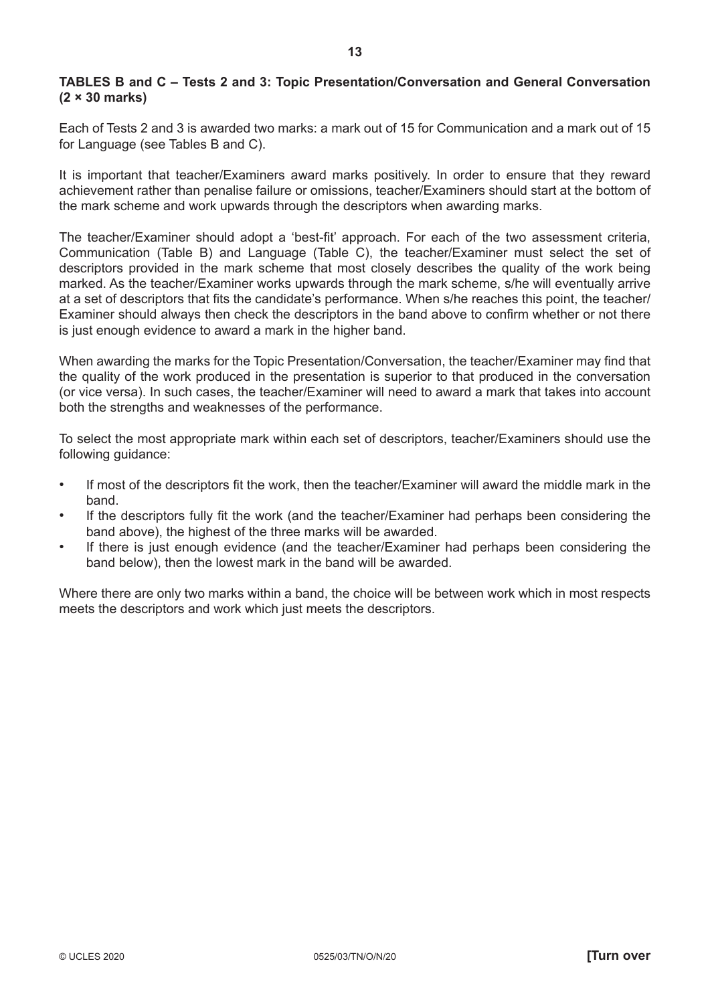# **TABLES B and C – Tests 2 and 3: Topic Presentation/Conversation and General Conversation (2 × 30 marks)**

Each of Tests 2 and 3 is awarded two marks: a mark out of 15 for Communication and a mark out of 15 for Language (see Tables B and C).

It is important that teacher/Examiners award marks positively. In order to ensure that they reward achievement rather than penalise failure or omissions, teacher/Examiners should start at the bottom of the mark scheme and work upwards through the descriptors when awarding marks.

The teacher/Examiner should adopt a 'best-fit' approach. For each of the two assessment criteria, Communication (Table B) and Language (Table C), the teacher/Examiner must select the set of descriptors provided in the mark scheme that most closely describes the quality of the work being marked. As the teacher/Examiner works upwards through the mark scheme, s/he will eventually arrive at a set of descriptors that fits the candidate's performance. When s/he reaches this point, the teacher/ Examiner should always then check the descriptors in the band above to confirm whether or not there is just enough evidence to award a mark in the higher band.

When awarding the marks for the Topic Presentation/Conversation, the teacher/Examiner may find that the quality of the work produced in the presentation is superior to that produced in the conversation (or vice versa). In such cases, the teacher/Examiner will need to award a mark that takes into account both the strengths and weaknesses of the performance.

To select the most appropriate mark within each set of descriptors, teacher/Examiners should use the following guidance:

- If most of the descriptors fit the work, then the teacher/Examiner will award the middle mark in the band.
- If the descriptors fully fit the work (and the teacher/Examiner had perhaps been considering the band above), the highest of the three marks will be awarded.
- If there is just enough evidence (and the teacher/Examiner had perhaps been considering the band below), then the lowest mark in the band will be awarded.

Where there are only two marks within a band, the choice will be between work which in most respects meets the descriptors and work which just meets the descriptors.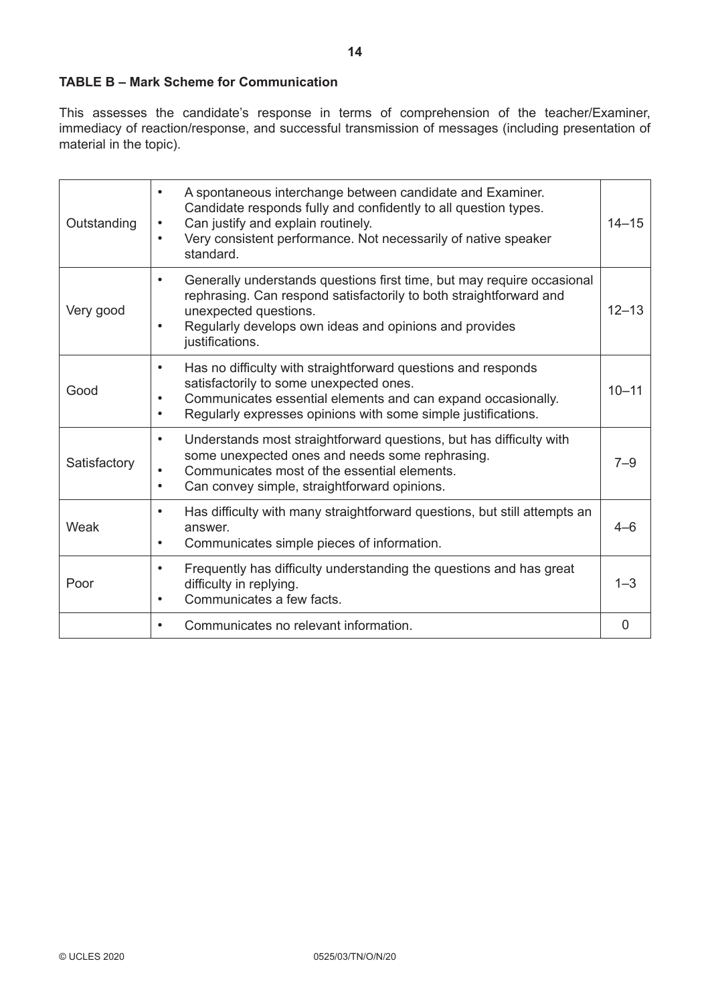# **TABLE B – Mark Scheme for Communication**

This assesses the candidate's response in terms of comprehension of the teacher/Examiner, immediacy of reaction/response, and successful transmission of messages (including presentation of material in the topic).

| Outstanding  | A spontaneous interchange between candidate and Examiner.<br>Candidate responds fully and confidently to all question types.<br>Can justify and explain routinely.<br>Very consistent performance. Not necessarily of native speaker<br>standard.      | $14 - 15$      |
|--------------|--------------------------------------------------------------------------------------------------------------------------------------------------------------------------------------------------------------------------------------------------------|----------------|
| Very good    | Generally understands questions first time, but may require occasional<br>rephrasing. Can respond satisfactorily to both straightforward and<br>unexpected questions.<br>Regularly develops own ideas and opinions and provides<br>justifications.     | $12 - 13$      |
| Good         | Has no difficulty with straightforward questions and responds<br>$\bullet$<br>satisfactorily to some unexpected ones.<br>Communicates essential elements and can expand occasionally.<br>Regularly expresses opinions with some simple justifications. | $10 - 11$      |
| Satisfactory | Understands most straightforward questions, but has difficulty with<br>$\bullet$<br>some unexpected ones and needs some rephrasing.<br>Communicates most of the essential elements.<br>Can convey simple, straightforward opinions.<br>$\bullet$       | $7 - 9$        |
| Weak         | Has difficulty with many straightforward questions, but still attempts an<br>٠<br>answer.<br>Communicates simple pieces of information.<br>$\bullet$                                                                                                   | $4 - 6$        |
| Poor         | Frequently has difficulty understanding the questions and has great<br>$\bullet$<br>difficulty in replying.<br>Communicates a few facts.                                                                                                               | $1 - 3$        |
|              | Communicates no relevant information.                                                                                                                                                                                                                  | $\overline{0}$ |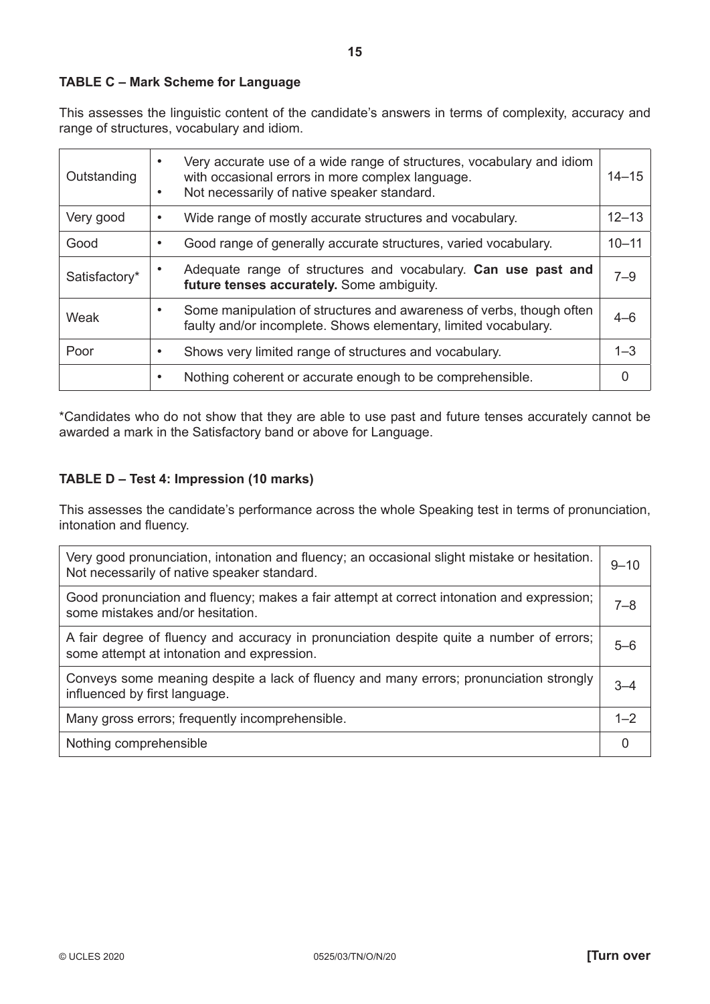# **TABLE C – Mark Scheme for Language**

This assesses the linguistic content of the candidate's answers in terms of complexity, accuracy and range of structures, vocabulary and idiom.

| Outstanding   | Very accurate use of a wide range of structures, vocabulary and idiom<br>with occasional errors in more complex language.<br>Not necessarily of native speaker standard. | $14 - 15$ |
|---------------|--------------------------------------------------------------------------------------------------------------------------------------------------------------------------|-----------|
| Very good     | Wide range of mostly accurate structures and vocabulary.                                                                                                                 | $12 - 13$ |
| Good          | Good range of generally accurate structures, varied vocabulary.                                                                                                          | $10 - 11$ |
| Satisfactory* | Adequate range of structures and vocabulary. Can use past and<br>future tenses accurately. Some ambiguity.                                                               | $7 - 9$   |
| Weak          | Some manipulation of structures and awareness of verbs, though often<br>faulty and/or incomplete. Shows elementary, limited vocabulary.                                  | $4 - 6$   |
| Poor          | Shows very limited range of structures and vocabulary.                                                                                                                   | $1 - 3$   |
|               | Nothing coherent or accurate enough to be comprehensible.                                                                                                                |           |

\*Candidates who do not show that they are able to use past and future tenses accurately cannot be awarded a mark in the Satisfactory band or above for Language.

# **TABLE D – Test 4: Impression (10 marks)**

This assesses the candidate's performance across the whole Speaking test in terms of pronunciation, intonation and fluency.

| Very good pronunciation, intonation and fluency; an occasional slight mistake or hesitation.<br>Not necessarily of native speaker standard. | $9 - 10$ |
|---------------------------------------------------------------------------------------------------------------------------------------------|----------|
| Good pronunciation and fluency; makes a fair attempt at correct intonation and expression;<br>some mistakes and/or hesitation.              | 7–8      |
| A fair degree of fluency and accuracy in pronunciation despite quite a number of errors;<br>some attempt at intonation and expression.      | 5-6      |
| Conveys some meaning despite a lack of fluency and many errors; pronunciation strongly<br>influenced by first language.                     | $3 - 4$  |
| Many gross errors; frequently incomprehensible.                                                                                             | $1 - 2$  |
| Nothing comprehensible                                                                                                                      |          |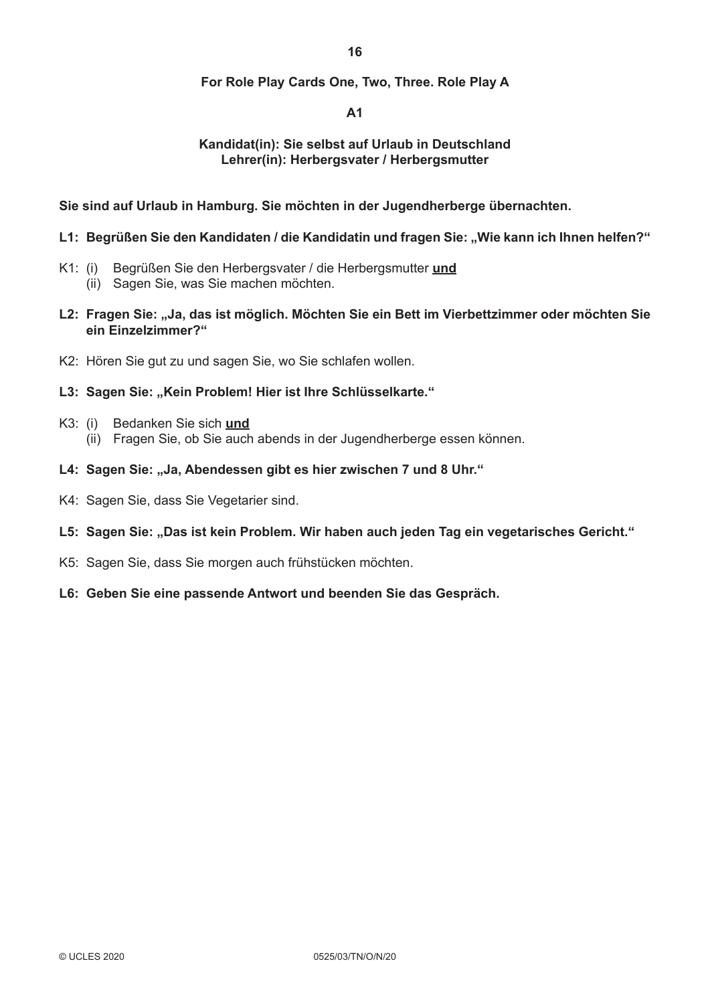# **For Role Play Cards One, Two, Three. Role Play A**

# **A1**

# **Kandidat(in): Sie selbst auf Urlaub in Deutschland Lehrer(in): Herbergsvater / Herbergsmutter**

**Sie sind auf Urlaub in Hamburg. Sie möchten in der Jugendherberge übernachten.**

#### L1: Begrüßen Sie den Kandidaten / die Kandidatin und fragen Sie: "Wie kann ich Ihnen helfen?"

- K1: (i) Begrüßen Sie den Herbergsvater / die Herbergsmutter **und**
	- (ii) Sagen Sie, was Sie machen möchten.
- **L2: Fragen Sie: "Ja, das ist möglich. Möchten Sie ein Bett im Vierbettzimmer oder möchten Sie ein Einzelzimmer?"**
- K2: Hören Sie gut zu und sagen Sie, wo Sie schlafen wollen.

# L3: Sagen Sie: "Kein Problem! Hier ist Ihre Schlüsselkarte."

- K3: (i) Bedanken Sie sich **und**
	- (ii) Fragen Sie, ob Sie auch abends in der Jugendherberge essen können.

# L4: Sagen Sie: "Ja, Abendessen gibt es hier zwischen 7 und 8 Uhr."

- K4: Sagen Sie, dass Sie Vegetarier sind.
- L5: Sagen Sie: "Das ist kein Problem. Wir haben auch jeden Tag ein vegetarisches Gericht."
- K5: Sagen Sie, dass Sie morgen auch frühstücken möchten.
- **L6: Geben Sie eine passende Antwort und beenden Sie das Gespräch.**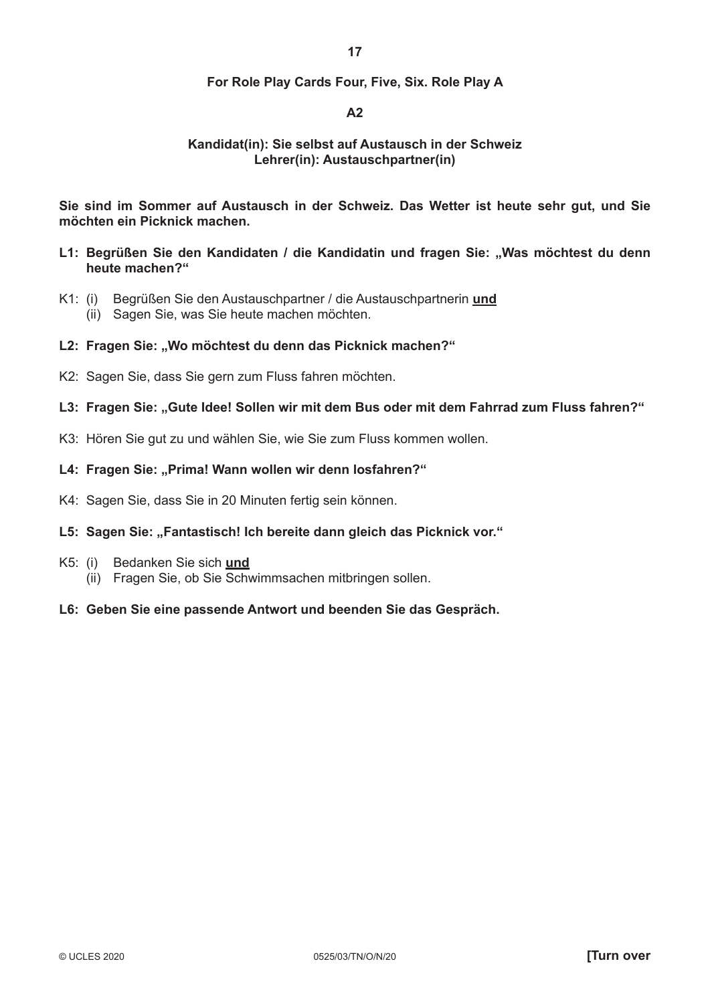### **For Role Play Cards Four, Five, Six. Role Play A**

# **A2**

### **Kandidat(in): Sie selbst auf Austausch in der Schweiz Lehrer(in): Austauschpartner(in)**

**Sie sind im Sommer auf Austausch in der Schweiz. Das Wetter ist heute sehr gut, und Sie möchten ein Picknick machen.**

- L1: Begrüßen Sie den Kandidaten / die Kandidatin und fragen Sie: "Was möchtest du denn **heute machen?"**
- K1: (i) Begrüßen Sie den Austauschpartner / die Austauschpartnerin **und** (ii) Sagen Sie, was Sie heute machen möchten.

#### **L2: Fragen Sie: "Wo möchtest du denn das Picknick machen?"**

- K2: Sagen Sie, dass Sie gern zum Fluss fahren möchten.
- L3: Fragen Sie: "Gute Idee! Sollen wir mit dem Bus oder mit dem Fahrrad zum Fluss fahren?"
- K3: Hören Sie gut zu und wählen Sie, wie Sie zum Fluss kommen wollen.

#### L4: Fragen Sie: "Prima! Wann wollen wir denn losfahren?"

K4: Sagen Sie, dass Sie in 20 Minuten fertig sein können.

#### L5: Sagen Sie: "Fantastisch! Ich bereite dann gleich das Picknick vor."

- K5: (i) Bedanken Sie sich **und**
	- (ii) Fragen Sie, ob Sie Schwimmsachen mitbringen sollen.

# **L6: Geben Sie eine passende Antwort und beenden Sie das Gespräch.**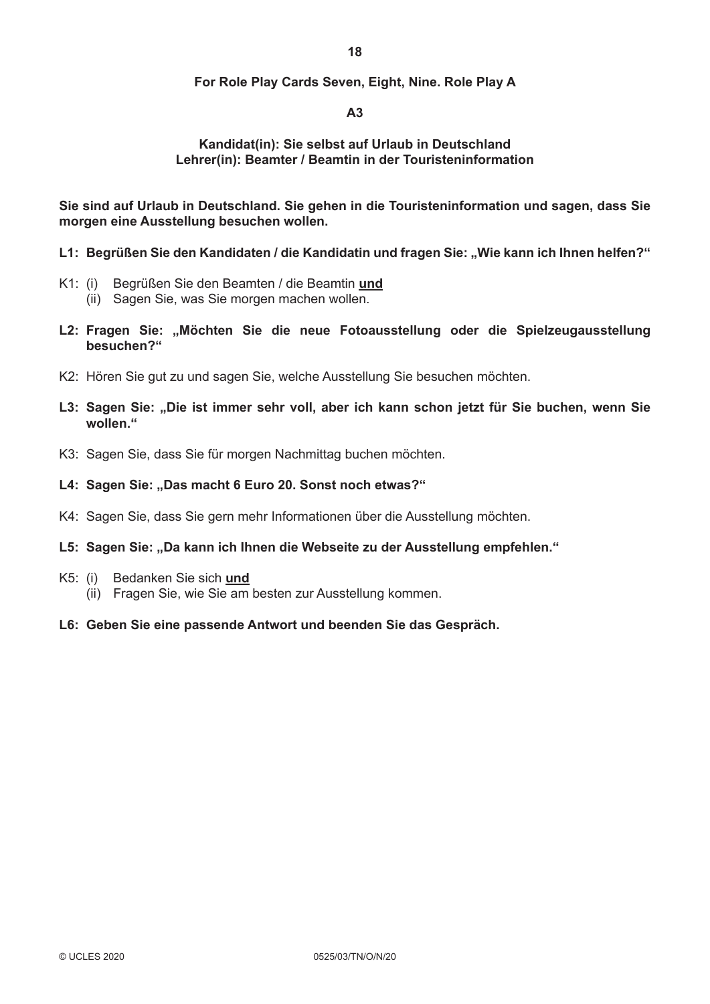# **For Role Play Cards Seven, Eight, Nine. Role Play A**

# **A3**

# **Kandidat(in): Sie selbst auf Urlaub in Deutschland Lehrer(in): Beamter / Beamtin in der Touristeninformation**

**Sie sind auf Urlaub in Deutschland. Sie gehen in die Touristeninformation und sagen, dass Sie morgen eine Ausstellung besuchen wollen.**

- L1: Begrüßen Sie den Kandidaten / die Kandidatin und fragen Sie: "Wie kann ich Ihnen helfen?"
- K1: (i) Begrüßen Sie den Beamten / die Beamtin **und**
	- (ii) Sagen Sie, was Sie morgen machen wollen.
- **L2: Fragen Sie: "Möchten Sie die neue Fotoausstellung oder die Spielzeugausstellung besuchen?"**
- K2: Hören Sie gut zu und sagen Sie, welche Ausstellung Sie besuchen möchten.
- L3: Sagen Sie: "Die ist immer sehr voll, aber ich kann schon jetzt für Sie buchen, wenn Sie **wollen."**
- K3: Sagen Sie, dass Sie für morgen Nachmittag buchen möchten.

#### L4: Sagen Sie: "Das macht 6 Euro 20. Sonst noch etwas?"

K4: Sagen Sie, dass Sie gern mehr Informationen über die Ausstellung möchten.

#### L5: Sagen Sie: "Da kann ich Ihnen die Webseite zu der Ausstellung empfehlen."

- K5: (i) Bedanken Sie sich **und**
	- (ii) Fragen Sie, wie Sie am besten zur Ausstellung kommen.
- **L6: Geben Sie eine passende Antwort und beenden Sie das Gespräch.**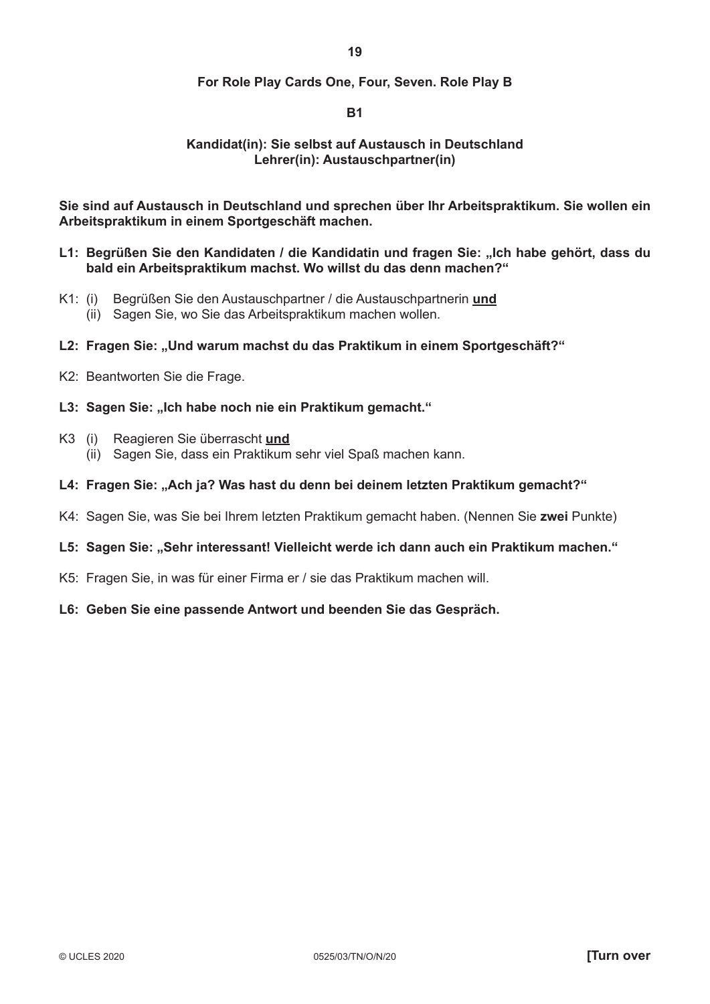# **For Role Play Cards One, Four, Seven. Role Play B**

# **B1**

# **Kandidat(in): Sie selbst auf Austausch in Deutschland Lehrer(in): Austauschpartner(in)**

**Sie sind auf Austausch in Deutschland und sprechen über Ihr Arbeitspraktikum. Sie wollen ein Arbeitspraktikum in einem Sportgeschäft machen.**

- L1: Begrüßen Sie den Kandidaten / die Kandidatin und fragen Sie: "Ich habe gehört, dass du **bald ein Arbeitspraktikum machst. Wo willst du das denn machen?"**
- K1: (i) Begrüßen Sie den Austauschpartner / die Austauschpartnerin **und** (ii) Sagen Sie, wo Sie das Arbeitspraktikum machen wollen.

#### **L2: Fragen Sie: "Und warum machst du das Praktikum in einem Sportgeschäft?"**

- K2: Beantworten Sie die Frage.
- L3: Sagen Sie: "Ich habe noch nie ein Praktikum gemacht."
- K3 (i) Reagieren Sie überrascht **und** (ii) Sagen Sie, dass ein Praktikum sehr viel Spaß machen kann.
- **L4: Fragen Sie: "Ach ja? Was hast du denn bei deinem letzten Praktikum gemacht?"**
- K4: Sagen Sie, was Sie bei Ihrem letzten Praktikum gemacht haben. (Nennen Sie **zwei** Punkte)

#### L5: Sagen Sie: "Sehr interessant! Vielleicht werde ich dann auch ein Praktikum machen."

K5: Fragen Sie, in was für einer Firma er / sie das Praktikum machen will.

# **L6: Geben Sie eine passende Antwort und beenden Sie das Gespräch.**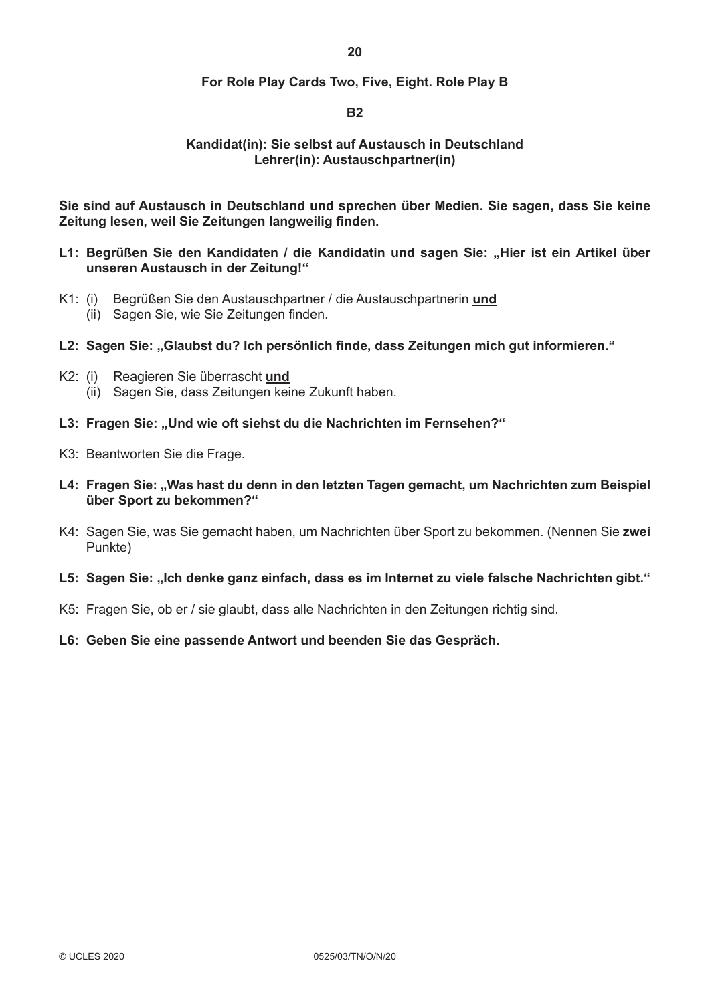# **For Role Play Cards Two, Five, Eight. Role Play B**

# **B2**

# **Kandidat(in): Sie selbst auf Austausch in Deutschland Lehrer(in): Austauschpartner(in)**

**Sie sind auf Austausch in Deutschland und sprechen über Medien. Sie sagen, dass Sie keine Zeitung lesen, weil Sie Zeitungen langweilig finden.** 

- L1: Begrüßen Sie den Kandidaten / die Kandidatin und sagen Sie: "Hier ist ein Artikel über **unseren Austausch in der Zeitung!"**
- K1: (i) Begrüßen Sie den Austauschpartner / die Austauschpartnerin **und** (ii) Sagen Sie, wie Sie Zeitungen finden.
- **L2: Sagen Sie: "Glaubst du? Ich persönlich finde, dass Zeitungen mich gut informieren."**
- K2: (i) Reagieren Sie überrascht **und** (ii) Sagen Sie, dass Zeitungen keine Zukunft haben.
- L3: Fragen Sie: "Und wie oft siehst du die Nachrichten im Fernsehen?"
- K3: Beantworten Sie die Frage.
- L4: Fragen Sie: "Was hast du denn in den letzten Tagen gemacht, um Nachrichten zum Beispiel **über Sport zu bekommen?"**
- K4: Sagen Sie, was Sie gemacht haben, um Nachrichten über Sport zu bekommen. (Nennen Sie **zwei** Punkte)
- L5: Sagen Sie: "Ich denke ganz einfach, dass es im Internet zu viele falsche Nachrichten gibt."
- K5: Fragen Sie, ob er / sie glaubt, dass alle Nachrichten in den Zeitungen richtig sind.
- **L6: Geben Sie eine passende Antwort und beenden Sie das Gespräch.**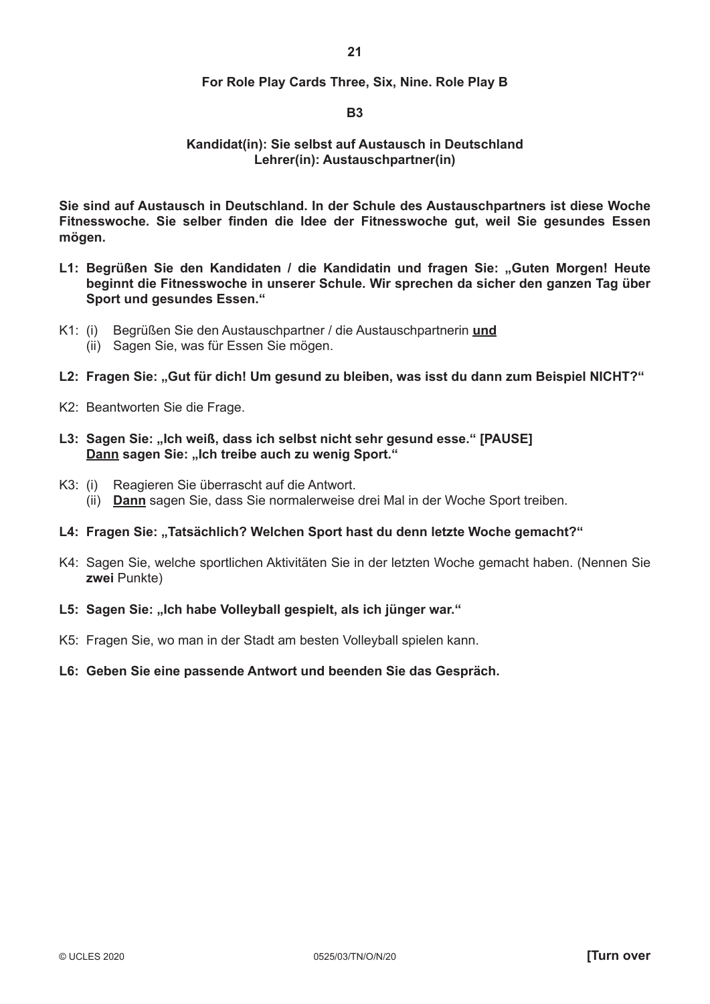### **For Role Play Cards Three, Six, Nine. Role Play B**

#### **B3**

#### **Kandidat(in): Sie selbst auf Austausch in Deutschland Lehrer(in): Austauschpartner(in)**

**Sie sind auf Austausch in Deutschland. In der Schule des Austauschpartners ist diese Woche Fitnesswoche. Sie selber finden die Idee der Fitnesswoche gut, weil Sie gesundes Essen mögen.**

- **L1: Begrüßen Sie den Kandidaten / die Kandidatin und fragen Sie: "Guten Morgen! Heute beginnt die Fitnesswoche in unserer Schule. Wir sprechen da sicher den ganzen Tag über Sport und gesundes Essen."**
- K1: (i) Begrüßen Sie den Austauschpartner / die Austauschpartnerin **und**
	- (ii) Sagen Sie, was für Essen Sie mögen.
- **L2: Fragen Sie: "Gut für dich! Um gesund zu bleiben, was isst du dann zum Beispiel NICHT?"**
- K2: Beantworten Sie die Frage.
- **L3: Sagen Sie: "Ich weiß, dass ich selbst nicht sehr gesund esse." [PAUSE] Dann sagen Sie: "Ich treibe auch zu wenig Sport."**
- K3: (i) Reagieren Sie überrascht auf die Antwort. (ii) **Dann** sagen Sie, dass Sie normalerweise drei Mal in der Woche Sport treiben.
- L4: Fragen Sie: "Tatsächlich? Welchen Sport hast du denn letzte Woche gemacht?"
- K4: Sagen Sie, welche sportlichen Aktivitäten Sie in der letzten Woche gemacht haben. (Nennen Sie **zwei** Punkte)
- L5: Sagen Sie: "Ich habe Volleyball gespielt, als ich jünger war."
- K5: Fragen Sie, wo man in der Stadt am besten Volleyball spielen kann.
- **L6: Geben Sie eine passende Antwort und beenden Sie das Gespräch.**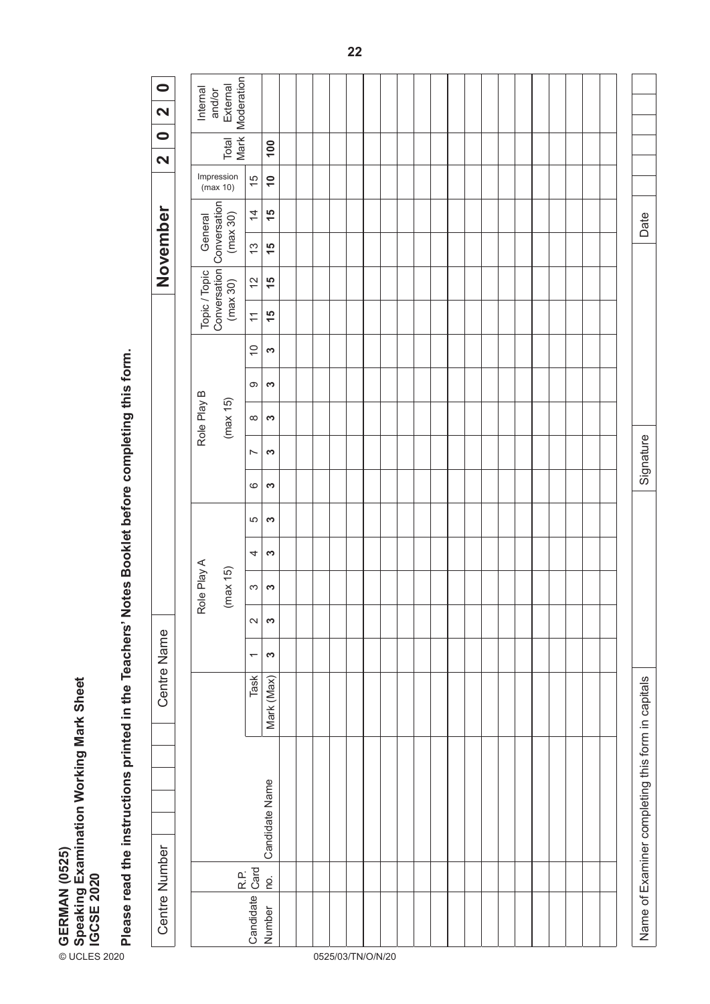| Please read the instructions printed in the Teachers' Notes Booklet before completing this form.<br>6<br>S<br>5<br>S<br>S<br>4<br>Role Play A<br>(max 15)<br>S<br>S<br>$\sim$<br>S<br>Centre Name<br>S<br>$\overline{\phantom{0}}$<br>Task<br>Mark (Max)<br>Speaking Examination Working Mark Sheet<br>IGCSE 2020 | Topic / Topic<br>Conversation<br>(max 30)<br>$\frac{15}{2}$<br>$\overline{\mathcal{L}}$<br>$\overline{0}$<br>S<br>9<br>S<br>Role Play B<br>(max 15)<br>$\infty$<br>S<br>S<br>$\overline{ }$ | Conversation<br>November<br>$\overline{4}$<br>$\frac{15}{2}$<br>(max 30)<br>General<br>$\frac{1}{2}$<br>$\frac{5}{1}$<br>$\overline{c}$<br>$\frac{15}{2}$ | Mark<br>Total<br>100<br>$\overline{\mathbf{N}}$<br>Impression<br>15<br>$\overline{1}$<br>(max 10) |
|-------------------------------------------------------------------------------------------------------------------------------------------------------------------------------------------------------------------------------------------------------------------------------------------------------------------|---------------------------------------------------------------------------------------------------------------------------------------------------------------------------------------------|-----------------------------------------------------------------------------------------------------------------------------------------------------------|---------------------------------------------------------------------------------------------------|
|-------------------------------------------------------------------------------------------------------------------------------------------------------------------------------------------------------------------------------------------------------------------------------------------------------------------|---------------------------------------------------------------------------------------------------------------------------------------------------------------------------------------------|-----------------------------------------------------------------------------------------------------------------------------------------------------------|---------------------------------------------------------------------------------------------------|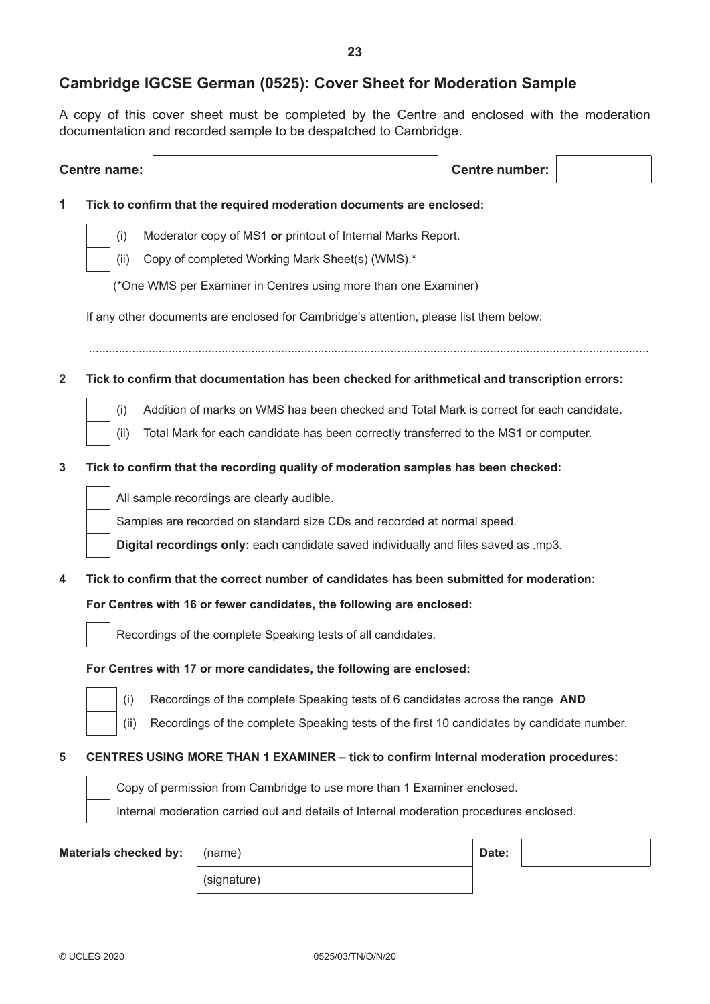# (\*One WMS per Examiner in Centres using more than one Examiner)

If any other documents are enclosed for Cambridge's attention, please list them below:

.........................................................................................................................................................................

**2 Tick to confirm that documentation has been checked for arithmetical and transcription errors:**

- (i) Addition of marks on WMS has been checked and Total Mark is correct for each candidate.
- (ii) Total Mark for each candidate has been correctly transferred to the MS1 or computer.

#### **3 Tick to confirm that the recording quality of moderation samples has been checked:**

All sample recordings are clearly audible.

Samples are recorded on standard size CDs and recorded at normal speed.

**Digital recordings only:** each candidate saved individually and files saved as .mp3.

**4 Tick to confirm that the correct number of candidates has been submitted for moderation: For Centres with 16 or fewer candidates, the following are enclosed:**



Recordings of the complete Speaking tests of all candidates.

#### **For Centres with 17 or more candidates, the following are enclosed:**



- (i) Recordings of the complete Speaking tests of 6 candidates across the range **AND**
- (ii) Recordings of the complete Speaking tests of the first 10 candidates by candidate number.

#### **5 CENTRES USING MORE THAN 1 EXAMINER – tick to confirm Internal moderation procedures:**



Copy of permission from Cambridge to use more than 1 Examiner enclosed.

Internal moderation carried out and details of Internal moderation procedures enclosed.

| Materials checked by:   (name) |             | Date: |
|--------------------------------|-------------|-------|
|                                | (signature) |       |

A copy of this cover sheet must be completed by the Centre and enclosed with the moderation

**Cambridge IGCSE German (0525): Cover Sheet for Moderation Sample**

**Centre name: Centre number:**

documentation and recorded sample to be despatched to Cambridge.

**1 Tick to confirm that the required moderation documents are enclosed:**

(ii) Copy of completed Working Mark Sheet(s) (WMS).\*

(i) Moderator copy of MS1 **or** printout of Internal Marks Report.